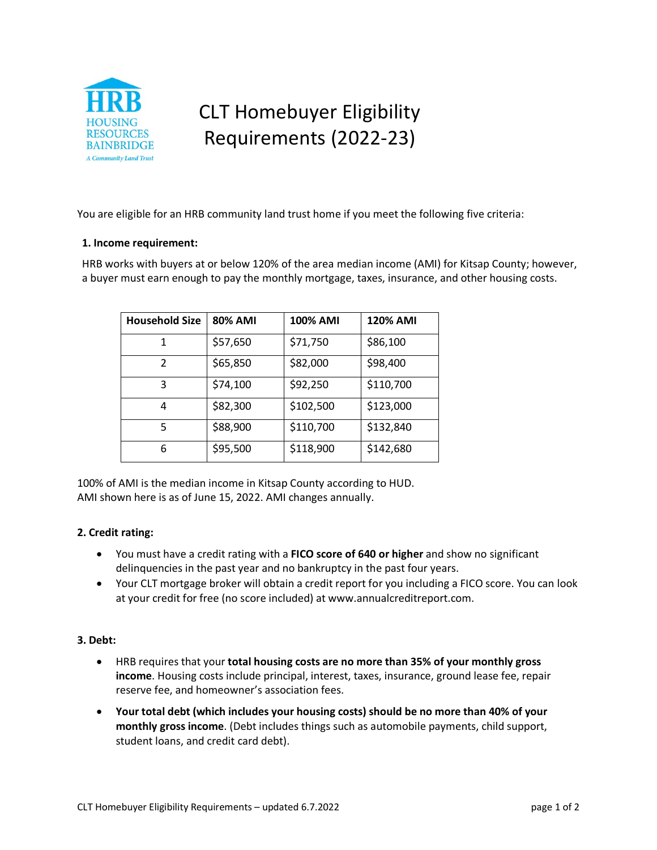

# CLT Homebuyer Eligibility Requirements (2022-23)

You are eligible for an HRB community land trust home if you meet the following five criteria:

### **1. Income requirement:**

HRB works with buyers at or below 120% of the area median income (AMI) for Kitsap County; however, a buyer must earn enough to pay the monthly mortgage, taxes, insurance, and other housing costs.

| <b>Household Size</b> | <b>80% AMI</b> | <b>100% AMI</b> | <b>120% AMI</b> |
|-----------------------|----------------|-----------------|-----------------|
| 1                     | \$57,650       | \$71,750        | \$86,100        |
| $\mathcal{P}$         | \$65,850       | \$82,000        | \$98,400        |
| 3                     | \$74,100       | \$92,250        | \$110,700       |
| 4                     | \$82,300       | \$102,500       | \$123,000       |
| 5                     | \$88,900       | \$110,700       | \$132,840       |
| 6                     | \$95,500       | \$118,900       | \$142,680       |

100% of AMI is the median income in Kitsap County according to HUD. AMI shown here is as of June 15, 2022. AMI changes annually.

## **2. Credit rating:**

- You must have a credit rating with a **FICO score of 640 or higher** and show no significant delinquencies in the past year and no bankruptcy in the past four years.
- Your CLT mortgage broker will obtain a credit report for you including a FICO score. You can look at your credit for free (no score included) at www.annualcreditreport.com.

### **3. Debt:**

- HRB requires that your **total housing costs are no more than 35% of your monthly gross income**. Housing costs include principal, interest, taxes, insurance, ground lease fee, repair reserve fee, and homeowner's association fees.
- **Your total debt (which includes your housing costs) should be no more than 40% of your monthly gross income**. (Debt includes things such as automobile payments, child support, student loans, and credit card debt).